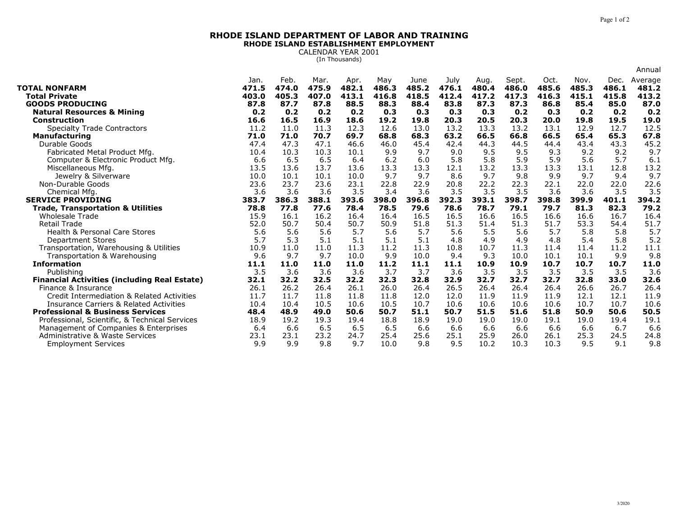## **RHODE ISLAND DEPARTMENT OF LABOR AND TRAININGRHODE ISLAND ESTABLISHMENT EMPLOYMENT**

CALENDAR YEAR 2001 (In Thousands)

|                                                                        |              |              |              |              |              |               |               |               |               |              |              |              | Annual        |
|------------------------------------------------------------------------|--------------|--------------|--------------|--------------|--------------|---------------|---------------|---------------|---------------|--------------|--------------|--------------|---------------|
|                                                                        | Jan.         | Feb.         | Mar.         | Apr.         | May          | June          | July          | Aug.          | Sept.         | Oct.         | Nov.         | Dec.         | Average       |
| <b>TOTAL NONFARM</b>                                                   | 471.5        | 474.0        | 475.9        | 482.1        | 486.3        | 485.2         | 476.1         | 480.4         | 486.0         | 485.6        | 485.3        | 486.1        | 481.2         |
| <b>Total Private</b>                                                   | 403.0        | 405.3        | 407.0        | 413.1        | 416.8        | 418.5         | 412.4         | 417.2         | 417.3         | 416.3        | 415.1        | 415.8        | 413.2         |
| <b>GOODS PRODUCING</b>                                                 | 87.8         | 87.7         | 87.8         | 88.5         | 88.3         | 88.4          | 83.8          | 87.3          | 87.3          | 86.8         | 85.4         | 85.0         | 87.0          |
| <b>Natural Resources &amp; Mining</b>                                  | 0.2          | 0.2          | 0.2          | 0.2          | 0.3          | 0.3           | 0.3           | 0.3           | 0.2           | 0.3          | 0.2          | 0.2          | 0.2           |
| Construction                                                           | 16.6         | 16.5         | 16.9         | 18.6         | 19.2         | 19.8          | 20.3          | 20.5          | 20.3          | 20.0         | 19.8         | 19.5         | 19.0          |
| <b>Specialty Trade Contractors</b>                                     | 11.2         | 11.0         | 11.3         | 12.3         | 12.6         | 13.0          | 13.2          | 13.3          | 13.2          | 13.1         | 12.9         | 12.7         | 12.5          |
| <b>Manufacturing</b>                                                   | 71.0         | 71.0         | 70.7         | 69.7         | 68.8         | 68.3          | 63.2          | 66.5          | 66.8          | 66.5         | 65.4         | 65.3         | 67.8          |
| Durable Goods                                                          | 47.4         | 47.3         | 47.1         | 46.6         | 46.0         | 45.4          | 42.4          | 44.3          | 44.5          | 44.4         | 43.4         | 43.3         | 45.2          |
| Fabricated Metal Product Mfg.                                          | 10.4         | 10.3         | 10.3         | 10.1         | 9.9          | 9.7           | 9.0           | 9.5           | 9.5           | 9.3          | 9.2          | 9.2          | 9.7           |
| Computer & Electronic Product Mfg.                                     | 6.6          | 6.5          | 6.5          | 6.4          | 6.2          | 6.0           | 5.8           | 5.8           | 5.9           | 5.9          | 5.6          | 5.7          | 6.1           |
| Miscellaneous Mfg.                                                     | 13.5         | 13.6         | 13.7         | 13.6         | 13.3         | 13.3          | 12.1          | 13.2          | 13.3          | 13.3         | 13.1         | 12.8         | 13.2          |
| Jewelry & Silverware                                                   | 10.0         | 10.1         | 10.1         | 10.0         | 9.7          | 9.7           | 8.6           | 9.7           | 9.8           | 9.9          | 9.7          | 9.4          | 9.7           |
| Non-Durable Goods                                                      | 23.6         | 23.7         | 23.6         | 23.1         | 22.8         | 22.9          | 20.8          | 22.2          | 22.3          | 22.1         | 22.0         | 22.0         | 22.6          |
| Chemical Mfg                                                           | 3.6          | 3.6          | 3.6          | 3.5          | 3.4          | 3.6           | 3.5           | 3.5           | 3.5           | 3.6          | 3.6          | 3.5          | 3.5           |
| <b>SERVICE PROVIDING</b>                                               | 383.7        | 386.3        | 388.1        | 393.6        | 398.0        | 396.8<br>79.6 | 392.3<br>78.6 | 393.1<br>78.7 | 398.7<br>79.1 | 398.8        | 399.9        | 401.1        | 394.2<br>79.2 |
| <b>Trade, Transportation &amp; Utilities</b><br><b>Wholesale Trade</b> | 78.8<br>15.9 | 77.8<br>16.1 | 77.6<br>16.2 | 78.4<br>16.4 | 78.5<br>16.4 | 16.5          | 16.5          | 16.6          | 16.5          | 79.7<br>16.6 | 81.3<br>16.6 | 82.3<br>16.7 | 16.4          |
| <b>Retail Trade</b>                                                    | 52.0         | 50.7         | 50.4         | 50.7         | 50.9         | 51.8          | 51.3          | 51.4          | 51.3          | 51.7         | 53.3         | 54.4         | 51.7          |
| <b>Health &amp; Personal Care Stores</b>                               | 5.6          | 5.6          | 5.6          | 5.7          | 5.6          | 5.7           | 5.6           | 5.5           | 5.6           | 5.7          | 5.8          | 5.8          | 5.7           |
| <b>Department Stores</b>                                               | 5.7          | 5.3          | 5.1          | 5.1          | 5.1          | 5.1           | 4.8           | 4.9           | 4.9           | 4.8          | 5.4          | 5.8          | 5.2           |
| Transportation, Warehousing & Utilities                                | 10.9         | 11.0         | 11.0         | 11.3         | 11.2         | 11.3          | 10.8          | 10.7          | 11.3          | 11.4         | 11.4         | 11.2         | 11.1          |
|                                                                        | 9.6          | 9.7          | 9.7          | 10.0         | 9.9          | 10.0          | 9.4           | 9.3           | 10.0          | 10.1         | 10.1         | 9.9          | 9.8           |
| Transportation & Warehousing<br><b>Information</b>                     | 11.1         | 11.0         | 11.0         | 11.0         | 11.2         | 11.1          | 11.1          | 10.9          | 10.9          | 10.7         | 10.7         | 10.7         | 11.0          |
| Publishing                                                             | 3.5          | 3.6          | 3.6          | 3.6          | 3.7          | 3.7           | 3.6           | 3.5           | 3.5           | 3.5          | 3.5          | 3.5          | 3.6           |
| <b>Financial Activities (including Real Estate)</b>                    | 32.1         | 32.2         | 32.5         | 32.2         | 32.3         | 32.8          | 32.9          | 32.7          | 32.7          | 32.7         | 32.8         | 33.0         | 32.6          |
| Finance & Insurance                                                    | 26.1         | 26.2         | 26.4         | 26.1         | 26.0         | 26.4          | 26.5          | 26.4          | 26.4          | 26.4         | 26.6         | 26.7         | 26.4          |
| Credit Intermediation & Related Activities                             | 11.7         | 11.7         | 11.8         | 11.8         | 11.8         | 12.0          | 12.0          | 11.9          | 11.9          | 11.9         | 12.1         | 12.1         | 11.9          |
| <b>Insurance Carriers &amp; Related Activities</b>                     | 10.4         | 10.4         | 10.5         | 10.6         | 10.5         | 10.7          | 10.6          | 10.6          | 10.6          | 10.6         | 10.7         | 10.7         | 10.6          |
| <b>Professional &amp; Business Services</b>                            | 48.4         | 48.9         | 49.0         | 50.6         | 50.7         | 51.1          | 50.7          | 51.5          | 51.6          | 51.8         | 50.9         | 50.6         | 50.5          |
| Professional, Scientific, & Technical Services                         | 18.9         | 19.2         | 19.3         | 19.4         | 18.8         | 18.9          | 19.0          | 19.0          | 19.0          | 19.1         | 19.0         | 19.4         | 19.1          |
| Management of Companies & Enterprises                                  | 6.4          | 6.6          | 6.5          | 6.5          | 6.5          | 6.6           | 6.6           | 6.6           | 6.6           | 6.6          | 6.6          | 6.7          | 6.6           |
| Administrative & Waste Services                                        | 23.1         | 23.1         | 23.2         | 24.7         | 25.4         | 25.6          | 25.1          | 25.9          | 26.0          | 26.1         | 25.3         | 24.5         | 24.8          |
| <b>Employment Services</b>                                             | 9.9          | 9.9          | 9.8          | 9.7          | 10.0         | 9.8           | 9.5           | 10.2          | 10.3          | 10.3         | 9.5          | 9.1          | 9.8           |
|                                                                        |              |              |              |              |              |               |               |               |               |              |              |              |               |